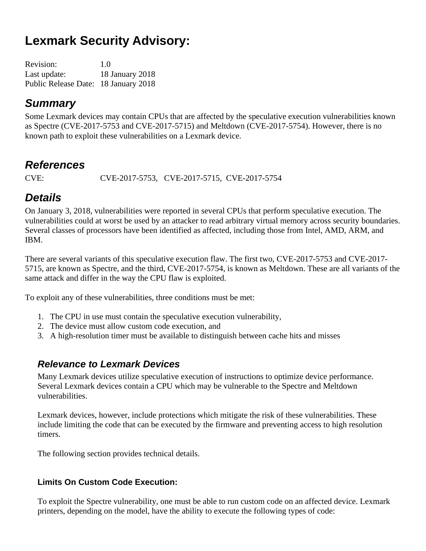# **Lexmark Security Advisory:**

| <b>Revision:</b>                     | 1.0             |
|--------------------------------------|-----------------|
| Last update:                         | 18 January 2018 |
| Public Release Date: 18 January 2018 |                 |

## *Summary*

Some Lexmark devices may contain CPUs that are affected by the speculative execution vulnerabilities known as Spectre (CVE-2017-5753 and CVE-2017-5715) and Meltdown (CVE-2017-5754). However, there is no known path to exploit these vulnerabilities on a Lexmark device.

## *References*

CVE: CVE-2017-5753, CVE-2017-5715, CVE-2017-5754

# *Details*

On January 3, 2018, vulnerabilities were reported in several CPUs that perform speculative execution. The vulnerabilities could at worst be used by an attacker to read arbitrary virtual memory across security boundaries. Several classes of processors have been identified as affected, including those from Intel, AMD, ARM, and IBM.

There are several variants of this speculative execution flaw. The first two, CVE-2017-5753 and CVE-2017- 5715, are known as Spectre, and the third, CVE-2017-5754, is known as Meltdown. These are all variants of the same attack and differ in the way the CPU flaw is exploited.

To exploit any of these vulnerabilities, three conditions must be met:

- 1. The CPU in use must contain the speculative execution vulnerability,
- 2. The device must allow custom code execution, and
- 3. A high-resolution timer must be available to distinguish between cache hits and misses

## *Relevance to Lexmark Devices*

Many Lexmark devices utilize speculative execution of instructions to optimize device performance. Several Lexmark devices contain a CPU which may be vulnerable to the Spectre and Meltdown vulnerabilities.

Lexmark devices, however, include protections which mitigate the risk of these vulnerabilities. These include limiting the code that can be executed by the firmware and preventing access to high resolution timers.

The following section provides technical details.

### **Limits On Custom Code Execution:**

To exploit the Spectre vulnerability, one must be able to run custom code on an affected device. Lexmark printers, depending on the model, have the ability to execute the following types of code: